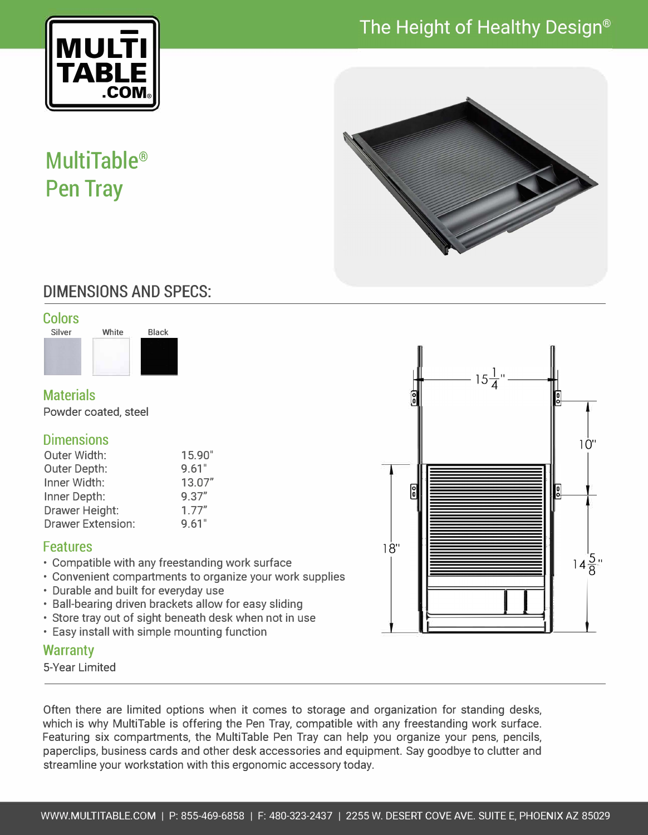# The Height of Healthy Design®



# **MultiTable® Pen Tray**



## DIMENSIONS AND SPECS:





### **Materials**

Powder coated, steel

#### **Dimensions**

| Outer Width:             | 15.90" |
|--------------------------|--------|
| Outer Depth:             | 9.61"  |
| Inner Width:             | 13.07" |
| Inner Depth:             | 9.37'' |
| Drawer Height:           | 1.77"  |
| <b>Drawer Extension:</b> | 9.61"  |

#### Features

- Compatible with any freestanding work surface
- Convenient compartments to organize your work supplies
- Durable and built for everyday use
- Ball-bearing driven brackets allow for easy sliding
- Store tray out of sight beneath desk when not in use<br>• Easy install with simple mounting function
- 

#### **Warranty**

5-Vear Limited

Often there are limited options when it comes to storage and organization for standing desks, which is why MultiTable is offering the Pen Tray, compatible with any freestanding work surface. Featuring six compartments, the MultiTable Pen Tray can help you organize your pens, pencils, paperclips, business cards and other desk accessories and equipment. Say goodbye to clutter and streamline your workstation with this ergonomic accessory today.